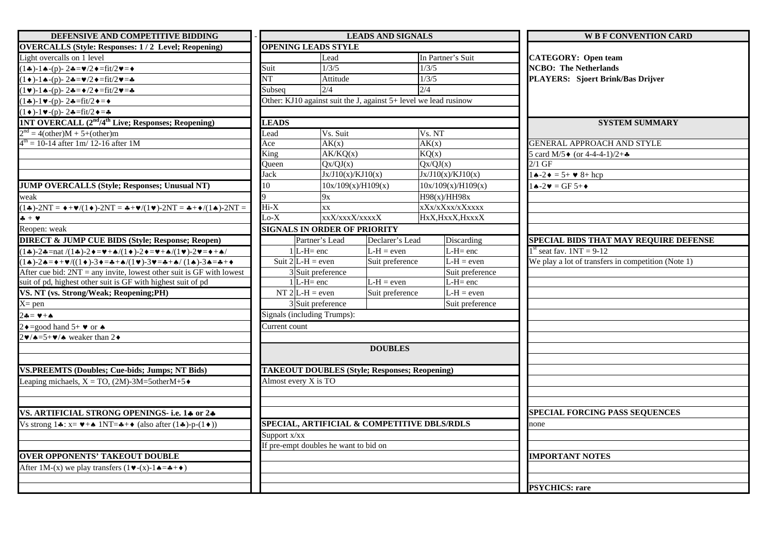| DEFENSIVE AND COMPETITIVE BIDDING                                                                                                                                                                                                                           |                                                      |                                       | <b>LEADS AND SIGNALS</b> |                                                                  | <b>W B F CONVENTION CARD</b>                       |
|-------------------------------------------------------------------------------------------------------------------------------------------------------------------------------------------------------------------------------------------------------------|------------------------------------------------------|---------------------------------------|--------------------------|------------------------------------------------------------------|----------------------------------------------------|
| <b>OVERCALLS (Style: Responses: 1/2 Level; Reopening)</b>                                                                                                                                                                                                   |                                                      | <b>OPENING LEADS STYLE</b>            |                          |                                                                  |                                                    |
| Light overcalls on 1 level                                                                                                                                                                                                                                  |                                                      | Lead                                  |                          | In Partner's Suit                                                | <b>CATEGORY: Open team</b>                         |
| $(1\clubsuit)$ -1 $\spadesuit$ -(p)-2 $\clubsuit$ = $\spadesuit$ /2 $\spadesuit$ =fit/2 $\spadesuit$ = $\spadesuit$                                                                                                                                         | Suit                                                 | 1/3/5                                 |                          | 1/3/5                                                            | <b>NCBO: The Netherlands</b>                       |
| $(1\bullet)$ -1 $\bullet$ -(p)-2 $\bullet = \bullet/2 \bullet = \text{fit}/2 \bullet = \bullet$                                                                                                                                                             | $\overline{\text{NT}}$                               | Attitude                              |                          | 1/3/5                                                            | PLAYERS: Sjoert Brink/Bas Drijver                  |
| $(1 \vee)$ -14-(p)-24= $\angle$ /2 $\triangle$ =fit/2 $\vee$ =4                                                                                                                                                                                             | Subseq                                               | 2/4                                   |                          | 2/4                                                              |                                                    |
| $(1\clubsuit)$ -1 $\blacktriangleright$ -(p)-2 $\clubsuit$ =fit/2 $\blacklozenge$ = $\blacklozenge$                                                                                                                                                         |                                                      |                                       |                          | Other: KJ10 against suit the J, against 5+ level we lead rusinow |                                                    |
| $(1 \bullet)$ -1 $\bullet$ -(p)-2 $\bullet$ =fit/2 $\bullet$ = $\bullet$                                                                                                                                                                                    |                                                      |                                       |                          |                                                                  |                                                    |
| 1NT OVERCALL (2 <sup>nd</sup> /4 <sup>th</sup> Live; Responses; Reopening)                                                                                                                                                                                  | <b>LEADS</b>                                         |                                       |                          |                                                                  | <b>SYSTEM SUMMARY</b>                              |
| $2nd = 4(other)M + 5+(other)m$                                                                                                                                                                                                                              | Lead                                                 | Vs. Suit                              |                          | Vs. NT                                                           |                                                    |
| $4th = 10-14$ after 1m/ 12-16 after 1M                                                                                                                                                                                                                      | Ace                                                  | AK(x)                                 |                          | AK(x)                                                            | <b>GENERAL APPROACH AND STYLE</b>                  |
|                                                                                                                                                                                                                                                             | King                                                 | AK/KQ(x)                              |                          | $\overline{KQ(x)}$                                               | 5 card M/5 $\bullet$ (or 4-4-4-1)/2+ $\bullet$     |
|                                                                                                                                                                                                                                                             | Queen                                                | Qx/QJ(x)                              |                          | Qx/QJ(x)                                                         | $2/1$ GF                                           |
|                                                                                                                                                                                                                                                             | Jack                                                 |                                       | Jx/J10(x)/KJ10(x)        | Jx/J10(x)/KJ10(x)                                                | $\triangle$ -2 $\bullet$ = 5+ $\bullet$ 8+ hcp     |
| <b>JUMP OVERCALLS (Style; Responses; Unusual NT)</b>                                                                                                                                                                                                        | 10                                                   |                                       | 10x/109(x)/H109(x)       | 10x/109(x)/H109(x)                                               | $\triangle$ -2 $\triangledown$ = GF 5+ $\triangle$ |
| weak                                                                                                                                                                                                                                                        |                                                      | 9x                                    |                          | H98(x)/HH98x                                                     |                                                    |
| $(1\bullet)-2NT = \bullet + \bullet$ /(1 $\bullet$ )-2NT = $\bullet + \bullet$ /(1 $\bullet$ )-2NT = $\bullet + \bullet$ /(1 $\bullet$ )-2NT =                                                                                                              | $Hi-X$                                               | $\overline{X}X$                       |                          | xXx/xXxx/xXxxxx                                                  |                                                    |
| $+ +$                                                                                                                                                                                                                                                       | $Lo-X$                                               |                                       | xxX/xxxX/xxxxX           | HxX, HxxX, HxxxX                                                 |                                                    |
| Reopen: weak                                                                                                                                                                                                                                                |                                                      | <b>SIGNALS IN ORDER OF PRIORITY</b>   |                          |                                                                  |                                                    |
| <b>DIRECT &amp; JUMP CUE BIDS (Style; Response; Reopen)</b>                                                                                                                                                                                                 |                                                      | Partner's Lead                        | Declarer's Lead          | Discarding                                                       | SPECIAL BIDS THAT MAY REQUIRE DEFENSE              |
| $(1\clubsuit)$ -2 $\clubsuit$ =nat /(1 $\clubsuit$ )-2 $\bullet$ = $\blacktriangleright$ + $\spadesuit$ /(1 $\bullet$ )-2 $\bullet$ = $\blacktriangleright$ + $\spadesuit$ /(1 $\blacktriangleright$ )-2 $\blacktriangleright$ = $\bullet$ + $\spadesuit$ / |                                                      | $1$ L-H= enc                          | $L-H = even$             | $L-H=enc$                                                        | $1st$ seat fav. $1NT = 9-12$                       |
| $(1\spadesuit)$ -24=++V/((1+)-3+=4+4/(1v)-3v=4+4/(1+)-34=4++                                                                                                                                                                                                |                                                      | Suit $2 L-H $ = even                  | Suit preference          | $L-H = even$                                                     | We play a lot of transfers in competition (Note 1) |
| After cue bid: $2NT = any$ invite, lowest other suit is GF with lowest                                                                                                                                                                                      |                                                      | 3 Suit preference                     |                          | Suit preference                                                  |                                                    |
| suit of pd, highest other suit is GF with highest suit of pd                                                                                                                                                                                                |                                                      | $1$ L-H= enc                          | $L-H = even$             | $L-H=$ enc                                                       |                                                    |
| VS. NT (vs. Strong/Weak; Reopening;PH)                                                                                                                                                                                                                      |                                                      | NT 2 $L-H = even$                     | Suit preference          | $L-H = even$                                                     |                                                    |
| $X = pen$                                                                                                                                                                                                                                                   |                                                      | $3$ Suit preference                   |                          | Suit preference                                                  |                                                    |
| $2 - 4 = 2$                                                                                                                                                                                                                                                 |                                                      | Signals (including Trumps):           |                          |                                                                  |                                                    |
| $2 \triangleq \equiv$ good hand 5+ $\triangledown$ or $\triangle$                                                                                                                                                                                           | Current count                                        |                                       |                          |                                                                  |                                                    |
| $2\blacktriangleright$ / $\blacktriangle = 5+\blacktriangleright$ / $\blacktriangle$ weaker than 2 $\blacktriangleright$                                                                                                                                    |                                                      |                                       |                          |                                                                  |                                                    |
|                                                                                                                                                                                                                                                             |                                                      |                                       | <b>DOUBLES</b>           |                                                                  |                                                    |
|                                                                                                                                                                                                                                                             |                                                      |                                       |                          |                                                                  |                                                    |
| <b>VS.PREEMTS (Doubles; Cue-bids; Jumps; NT Bids)</b>                                                                                                                                                                                                       | <b>TAKEOUT DOUBLES (Style; Responses; Reopening)</b> |                                       |                          |                                                                  |                                                    |
| Leaping michaels, $X = TO$ , (2M)-3M=5otherM+5 $\bullet$                                                                                                                                                                                                    |                                                      | Almost every X is TO                  |                          |                                                                  |                                                    |
|                                                                                                                                                                                                                                                             |                                                      |                                       |                          |                                                                  |                                                    |
|                                                                                                                                                                                                                                                             |                                                      |                                       |                          |                                                                  |                                                    |
| VS. ARTIFICIAL STRONG OPENINGS- i.e. 14 or 24                                                                                                                                                                                                               |                                                      |                                       |                          |                                                                  | <b>SPECIAL FORCING PASS SEQUENCES</b>              |
| Vs strong $1\clubsuit$ : x= $\blacktriangledown + \spadesuit$ 1NT= $\clubsuit + \diamond$ (also after (1 $\clubsuit$ )-p-(1 $\diamond$ ))                                                                                                                   |                                                      |                                       |                          | SPECIAL, ARTIFICIAL & COMPETITIVE DBLS/RDLS                      | none                                               |
|                                                                                                                                                                                                                                                             | Support x/xx                                         |                                       |                          |                                                                  |                                                    |
|                                                                                                                                                                                                                                                             |                                                      | If pre-empt doubles he want to bid on |                          |                                                                  |                                                    |
| <b>OVER OPPONENTS' TAKEOUT DOUBLE</b>                                                                                                                                                                                                                       |                                                      |                                       |                          |                                                                  | <b>IMPORTANT NOTES</b>                             |
| After 1M-(x) we play transfers $(1 \vee (x) - 1 \triangle = \triangle + \diamond)$                                                                                                                                                                          |                                                      |                                       |                          |                                                                  |                                                    |
|                                                                                                                                                                                                                                                             |                                                      |                                       |                          |                                                                  |                                                    |
|                                                                                                                                                                                                                                                             |                                                      |                                       |                          |                                                                  | <b>PSYCHICS: rare</b>                              |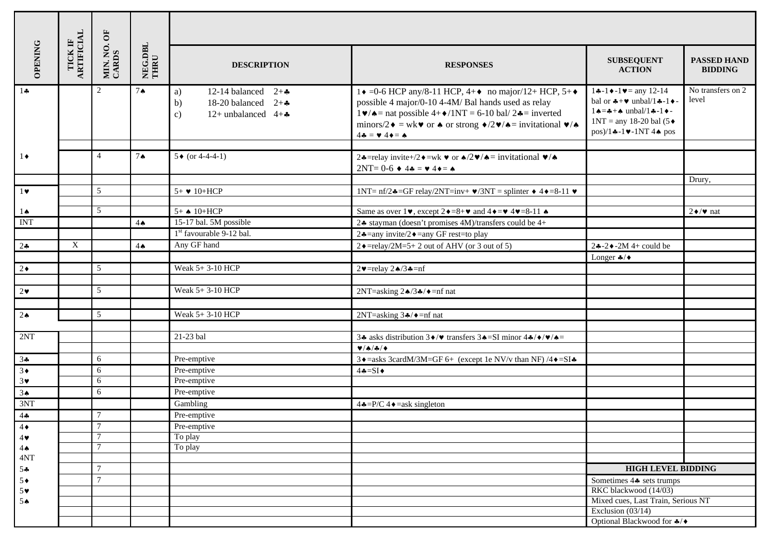| <b>OPENING</b>        | TICK IF<br>ARTIFICIAL | MIN. NO. OF<br>CARDS | NEG.DBL<br>THRU | <b>DESCRIPTION</b>                                                                                           | <b>RESPONSES</b>                                                                                                                                                                                                                                                                                                                                                                                                                                                                 | <b>SUBSEQUENT</b><br><b>ACTION</b>                                                                                                                                                                                                           | <b>PASSED HAND</b><br><b>BIDDING</b> |
|-----------------------|-----------------------|----------------------|-----------------|--------------------------------------------------------------------------------------------------------------|----------------------------------------------------------------------------------------------------------------------------------------------------------------------------------------------------------------------------------------------------------------------------------------------------------------------------------------------------------------------------------------------------------------------------------------------------------------------------------|----------------------------------------------------------------------------------------------------------------------------------------------------------------------------------------------------------------------------------------------|--------------------------------------|
| $1\clubsuit$          |                       | 2                    | $7^{\circ}$     | 12-14 balanced $2+\bullet$<br>a)<br>18-20 balanced $2+\bullet$<br>b)<br>12+ unbalanced $4+A$<br>$\mathbf{c}$ | $1\bullet$ =0-6 HCP any/8-11 HCP, 4+ $\bullet$ no major/12+ HCP, 5+ $\bullet$<br>possible 4 major/0-10 4-4M/ Bal hands used as relay<br>$1 \blacktriangleright / \blacktriangle =$ nat possible $4 + \blacktriangleright / 1NT = 6 - 10$ bal/ $2 \blacktriangle =$ inverted<br>minors/2 $\bullet$ = wk $\bullet$ or $\bullet$ or strong $\bullet$ /2 $\bullet$ / $\bullet$ = invitational $\bullet$ / $\bullet$<br>$4\clubsuit = \blacktriangledown 4\blacklozenge = \spadesuit$ | $1 - 1 - 1 = \text{any } 12 - 14$<br>bal or $\clubsuit + \triangledown$ unbal/1 $\clubsuit$ -1 $\blacklozenge$ -<br>$1 \triangle = -\triangle + \triangle$ unbal/1 ÷ -1 ÷ -<br>$1NT = any 18-20 bal (5 \bullet$<br>$pos)/1 - 1 - 1NT$ 44 pos | No transfers on 2<br>level           |
| $1 \bullet$           |                       | $\overline{4}$       | $7^{\circ}$     | $5 \bullet (or 4-4-4-1)$                                                                                     | 24=relay invite+/2 $\bullet$ =wk $\bullet$ or $\bullet$ /2 $\bullet$ / $\bullet$ = invitational $\bullet$ / $\bullet$<br>$2NT=0-6$ $\blacklozenge$ 4 $\clubsuit$ = $\blacktriangledown$ 4 $\blacklozenge$ = $\blacklozenge$                                                                                                                                                                                                                                                      |                                                                                                                                                                                                                                              |                                      |
|                       |                       |                      |                 |                                                                                                              |                                                                                                                                                                                                                                                                                                                                                                                                                                                                                  |                                                                                                                                                                                                                                              | Drury,                               |
| $1$ v                 |                       | 5                    |                 | $5+$ $\blacktriangleright$ 10+HCP                                                                            | 1NT= $\text{nf}/2 \triangleleft = \text{GF relay}/2NT = \text{inv} + \vee /3NT = \text{spliter} + 4 \triangleleft = 8-11 \vee$                                                                                                                                                                                                                                                                                                                                                   |                                                                                                                                                                                                                                              |                                      |
| $1\spadesuit$         |                       | 5                    |                 | $5+$ $\triangle$ 10+HCP                                                                                      | Same as over $1\blacktriangledown$ , except $2\blacklozenge = 8+\blacktriangledown$ and $4\blacklozenge = \blacktriangledown$ 4 $\blacktriangledown = 8-11$ $\blacktriangle$                                                                                                                                                                                                                                                                                                     |                                                                                                                                                                                                                                              | $2 \div \sqrt{\mathbf{v}}$ nat       |
| <b>INT</b>            |                       |                      | $4\spadesuit$   | 15-17 bal. 5M possible                                                                                       | 24 stayman (doesn't promises 4M)/transfers could be 4+                                                                                                                                                                                                                                                                                                                                                                                                                           |                                                                                                                                                                                                                                              |                                      |
|                       |                       |                      |                 | 1 <sup>st</sup> favourable 9-12 bal.                                                                         | 24=any invite/24=any GF rest=to play                                                                                                                                                                                                                                                                                                                                                                                                                                             |                                                                                                                                                                                                                                              |                                      |
| 24                    | X                     |                      | $4\spadesuit$   | Any GF hand                                                                                                  | $2 \cdot =$ relay/2M=5+2 out of AHV (or 3 out of 5)                                                                                                                                                                                                                                                                                                                                                                                                                              | $2\div 2\div 2M$ 4+ could be                                                                                                                                                                                                                 |                                      |
|                       |                       |                      |                 |                                                                                                              |                                                                                                                                                                                                                                                                                                                                                                                                                                                                                  | Longer $\clubsuit/\blacklozenge$                                                                                                                                                                                                             |                                      |
| $2\bullet$            |                       | 5                    |                 | Weak 5+3-10 HCP                                                                                              | $2 \blacktriangleright$ =relay $2 \blacktriangle / 3 \blacktriangle = n$ f                                                                                                                                                                                                                                                                                                                                                                                                       |                                                                                                                                                                                                                                              |                                      |
|                       |                       |                      |                 |                                                                                                              |                                                                                                                                                                                                                                                                                                                                                                                                                                                                                  |                                                                                                                                                                                                                                              |                                      |
| $2\bullet$            |                       | 5                    |                 | Weak 5+3-10 HCP                                                                                              | 2NT=asking $2\triangle/3\triangle/4$ =nf nat                                                                                                                                                                                                                                                                                                                                                                                                                                     |                                                                                                                                                                                                                                              |                                      |
|                       |                       |                      |                 |                                                                                                              |                                                                                                                                                                                                                                                                                                                                                                                                                                                                                  |                                                                                                                                                                                                                                              |                                      |
| 2 <sub>•</sub>        |                       | 5                    |                 | Weak 5+3-10 HCP                                                                                              | 2NT=asking $3\clubsuit/\blacklozenge$ =nf nat                                                                                                                                                                                                                                                                                                                                                                                                                                    |                                                                                                                                                                                                                                              |                                      |
|                       |                       |                      |                 |                                                                                                              |                                                                                                                                                                                                                                                                                                                                                                                                                                                                                  |                                                                                                                                                                                                                                              |                                      |
| 2NT                   |                       |                      |                 | 21-23 bal                                                                                                    | 34 asks distribution $3\blacklozenge/\blacktriangledown$ transfers $3\blacklozenge = SI$ minor $4\blacklozenge/\blacktriangledown/\blacklozenge =$                                                                                                                                                                                                                                                                                                                               |                                                                                                                                                                                                                                              |                                      |
|                       |                       |                      |                 |                                                                                                              | V/A/A/4                                                                                                                                                                                                                                                                                                                                                                                                                                                                          |                                                                                                                                                                                                                                              |                                      |
| 34                    |                       | $6\,$                |                 | Pre-emptive                                                                                                  | 3 + = asks 3cardM/3M=GF 6+ (except 1e NV/v than NF) /4 + = SI +                                                                                                                                                                                                                                                                                                                                                                                                                  |                                                                                                                                                                                                                                              |                                      |
| $3+$                  |                       | 6                    |                 | Pre-emptive                                                                                                  | $4 - SI$                                                                                                                                                                                                                                                                                                                                                                                                                                                                         |                                                                                                                                                                                                                                              |                                      |
| $3\blacktriangledown$ |                       | 6                    |                 | Pre-emptive                                                                                                  |                                                                                                                                                                                                                                                                                                                                                                                                                                                                                  |                                                                                                                                                                                                                                              |                                      |
| 3 <sub>•</sub>        |                       | 6                    |                 | Pre-emptive                                                                                                  |                                                                                                                                                                                                                                                                                                                                                                                                                                                                                  |                                                                                                                                                                                                                                              |                                      |
| 3NT                   |                       |                      |                 | Gambling                                                                                                     | $4 \cdot = P/C$ 4 $\bullet$ = ask singleton                                                                                                                                                                                                                                                                                                                                                                                                                                      |                                                                                                                                                                                                                                              |                                      |
| 44                    |                       | $\tau$               |                 | Pre-emptive                                                                                                  |                                                                                                                                                                                                                                                                                                                                                                                                                                                                                  |                                                                                                                                                                                                                                              |                                      |
| $4\bullet$            |                       |                      |                 | Pre-emptive                                                                                                  |                                                                                                                                                                                                                                                                                                                                                                                                                                                                                  |                                                                                                                                                                                                                                              |                                      |
| $4\blacktriangledown$ |                       | $\overline{7}$       |                 | To play                                                                                                      |                                                                                                                                                                                                                                                                                                                                                                                                                                                                                  |                                                                                                                                                                                                                                              |                                      |
| $4\spadesuit$         |                       | $\overline{7}$       |                 | To play                                                                                                      |                                                                                                                                                                                                                                                                                                                                                                                                                                                                                  |                                                                                                                                                                                                                                              |                                      |
| 4NT                   |                       | $\overline{7}$       |                 |                                                                                                              |                                                                                                                                                                                                                                                                                                                                                                                                                                                                                  | <b>HIGH LEVEL BIDDING</b>                                                                                                                                                                                                                    |                                      |
| $5 -$                 |                       | $\overline{7}$       |                 |                                                                                                              |                                                                                                                                                                                                                                                                                                                                                                                                                                                                                  |                                                                                                                                                                                                                                              |                                      |
| $5*$<br>$5*$          |                       |                      |                 |                                                                                                              |                                                                                                                                                                                                                                                                                                                                                                                                                                                                                  | Sometimes $4\clubsuit$ sets trumps<br>RKC blackwood (14/03)                                                                                                                                                                                  |                                      |
| 5A                    |                       |                      |                 |                                                                                                              |                                                                                                                                                                                                                                                                                                                                                                                                                                                                                  | Mixed cues, Last Train, Serious NT                                                                                                                                                                                                           |                                      |
|                       |                       |                      |                 |                                                                                                              |                                                                                                                                                                                                                                                                                                                                                                                                                                                                                  | Exclusion $(03/14)$                                                                                                                                                                                                                          |                                      |
|                       |                       |                      |                 |                                                                                                              |                                                                                                                                                                                                                                                                                                                                                                                                                                                                                  | Optional Blackwood for */◆                                                                                                                                                                                                                   |                                      |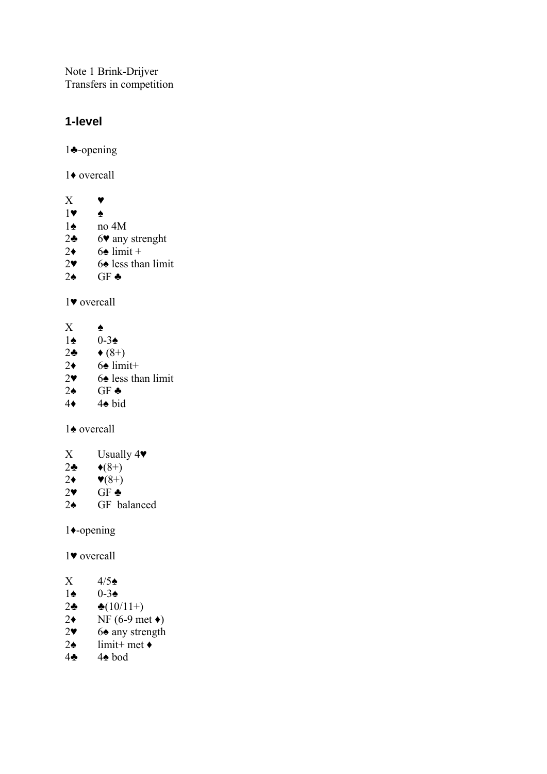Note 1 Brink-Drijver Transfers in competition

## **1-level**

1♣-opening

1♦ overcall

 $X \bullet$ 1♥ ♠ 1♠ no 4M 2♣ 6♥ any strenght  $2\bullet$  6 $\bullet$  limit + 2♥ 6 $\triangle$  less than limit 2♠ GF ♣

1♥ overcall

 $X \bullet$ 

- 1♠ 0-3♠
- $2\clubsuit$   $\blacklozenge (8+)$
- $2\bullet$  6 $\bullet$  limit+
- $2\bullet$  6 $\bullet$  less than limit
- $2$ ♠ GF ♣
- 4♦ 4♠ bid

1♠ overcall

- X Usually  $4\blacktriangledown$
- 
- $2\bullet \qquad \bullet (8+)$ <br>2 $\bullet \qquad \bullet (8+)$  $\blacktriangledown(8+)$
- $2 \times$  GF  $\triangle$
- 2♠ GF balanced

1♦-opening

1♥ overcall

- $X = 4/5$
- 1♠ 0-3♠
- 2 $\clubsuit(10/11+)$
- $2\bullet$  NF (6-9 met  $\bullet$ )
- 2♥ 6♠ any strength
- $2\spadesuit$  limit+ met  $\blacklozenge$
- 4♣ 4♠ bod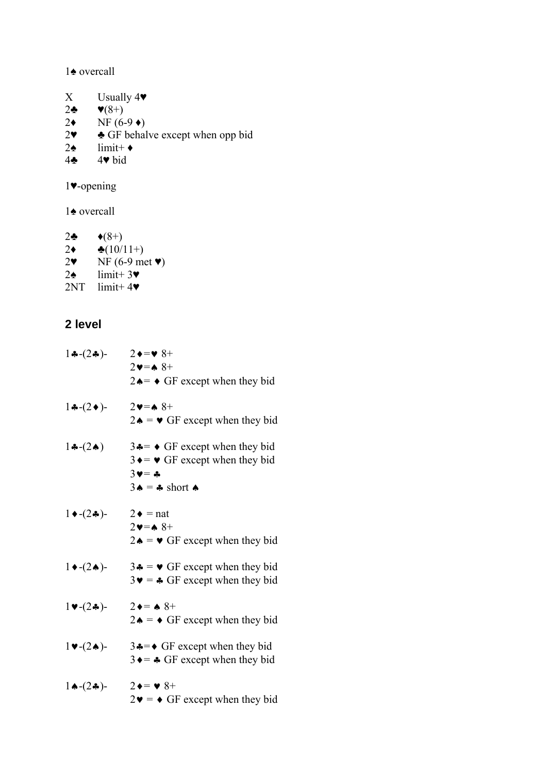♠ overcall

- $X$  Usually  $4\blacktriangledown$
- 2 $\clubsuit$   $\blacktriangledown(8+)$
- 
- 2<br>  $2 \times \text{NF} (6-9 \times)$ <br>  $2 \times \text{GF}$  behal  $\triangle$  GF behalve except when opp bid
- 2 $\triangle$  limit+  $\triangle$
- ♣ 4♥ bid

♥-opening

♠ overcall

2 $\clubsuit$   $\blacklozenge (8+)$ 2<br>**2**  $\bullet (10/11+)$ <br>2<br>**1** NF (6-9 me) NF (6-9 met  $\blacktriangledown$ ) 2 $\triangle$  limit+ 3 $\blacktriangledown$  $2NT$  limit+ 4 $\blacktriangledown$ 

## **2 level**

| $1 - (2 - )$                                 | $2 \rightarrow w 8+$<br>$2 \vee = \wedge 8 +$<br>$2 \triangle = \diamond$ GF except when they bid                                                            |
|----------------------------------------------|--------------------------------------------------------------------------------------------------------------------------------------------------------------|
| $1 - (2)$                                    | $2 \vee = \wedge 8 +$<br>$2 \triangle \bullet = \bullet$ GF except when they bid                                                                             |
| $1 \cdot (-2 \cdot )$                        | $3 \triangleleft = \bullet$ GF except when they bid<br>$3 \rightarrow$ $\bullet$ GF except when they bid<br>$3v = -4$<br>$3 \triangle = 3$ short $\triangle$ |
| $1 \bullet -(2 \clubsuit)$ -                 | $2 \bullet =$ nat<br>$2 \vee = \wedge 8 +$<br>$2\bullet = \bullet$ GF except when they bid                                                                   |
| $1 \bullet -(2 \bullet)$ -                   | $3 \triangleq \bullet$ $\bullet$ GF except when they bid<br>$3\blacktriangleright$ = $\blacktriangleleft$ GF except when they bid                            |
| $1 \vee (2 \clubsuit)$ -                     | $2 \bullet = \bullet 8^+$<br>$2 \triangle \bullet = \bullet$ GF except when they bid                                                                         |
| $1 \blacktriangleright (2 \blacktriangle)$ - | $3 \div 5 \div 6$ GF except when they bid<br>$3 \rightarrow 3 \rightarrow 4$ GF except when they bid                                                         |
| $1 \bigstar (2 \bigstar )$ -                 | $2 \bullet = \bullet 8 +$<br>$2\bullet \bullet \bullet$ GF except when they bid                                                                              |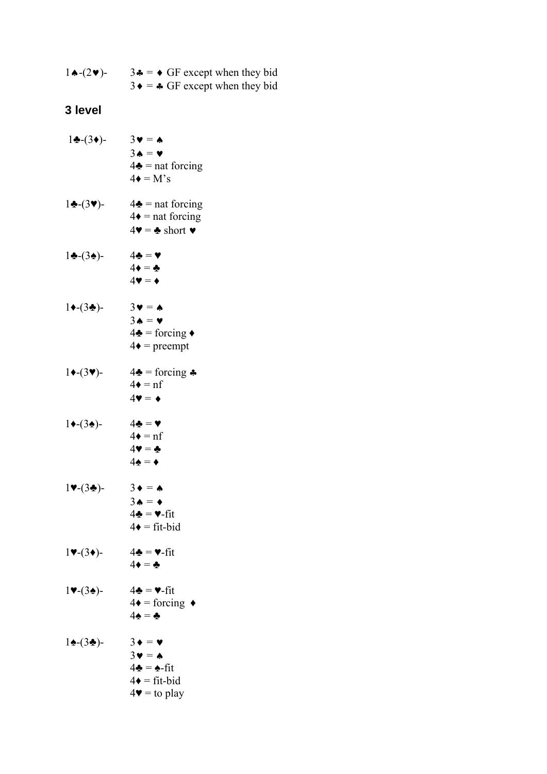| $1 \triangle - (2 \vee)$ - | $3 \cdot \bullet = \bullet$ GF except when they bid |
|----------------------------|-----------------------------------------------------|
|                            | $3 \bullet = \clubsuit$ GF except when they bid     |

## **3 level**

| $1\clubsuit-(3\bullet)-$                    | $3 \bullet = \spadesuit$<br>$3 \triangle = \triangledown$<br>$4\clubsuit$ = nat forcing<br>$4\bullet = M's$                                            |
|---------------------------------------------|--------------------------------------------------------------------------------------------------------------------------------------------------------|
| $1\cdot (3\cdot)$ -                         | $4\clubsuit$ = nat forcing<br>$4\bullet$ = nat forcing<br>$4\blacktriangledown = \clubsuit$ short $\blacktriangledown$                                 |
| $1\cdot (3\cdot)$ -                         | $4\clubsuit = \blacktriangledown$<br>$4\bullet = \clubsuit$<br>$4\blacktriangledown = \blacklozenge$                                                   |
| $1 \bigstar (3 \bigstar)$ -                 | $3\mathbf{v} = \mathbf{A}$<br>$3 \triangle = \triangledown$<br>$4\clubsuit = \text{forcing} \bullet$<br>$4\bullet$ = preempt                           |
| $1 \bigstar (3 \triangledown)$ -            | $4\clubsuit = \text{forcing } \clubsuit$<br>$4\bullet = nf$<br>$4\blacktriangledown = \blacklozenge$                                                   |
| $1 \bigstar (3 \bigstar)$ -                 | $4\clubsuit$ = $\blacktriangledown$<br>$4\bullet = nf$<br>$4\Psi = \clubsuit$<br>$4\spadesuit = \spadesuit$                                            |
| $1 \blacktriangledown (3 \triangleleft )$ - | $3 \bullet = \spadesuit$<br>$3 \triangle = \triangle$<br>$4\clubsuit = \vee$ -fit<br>$4\bullet$ = fit-bid                                              |
| $1$ V- $(3\bullet)$ -                       | $4\clubsuit$ = $\blacktriangledown$ -fit<br>$4\bullet = \clubsuit$                                                                                     |
| $1 \blacktriangledown$ -(34)-               | $4\clubsuit$ = $\blacktriangledown$ -fit<br>$4\bullet = \text{forcing}$<br>$4\spadesuit$ = $\clubsuit$                                                 |
| $1\spadesuit-(3\spadesuit)$ -               | $3 \bullet = \bullet$<br>$3\mathbf{v} = \mathbf{A}$<br>$4\clubsuit = \spadesuit\text{-fit}$<br>$4\bullet$ = fit-bid<br>$4\blacktriangledown =$ to play |